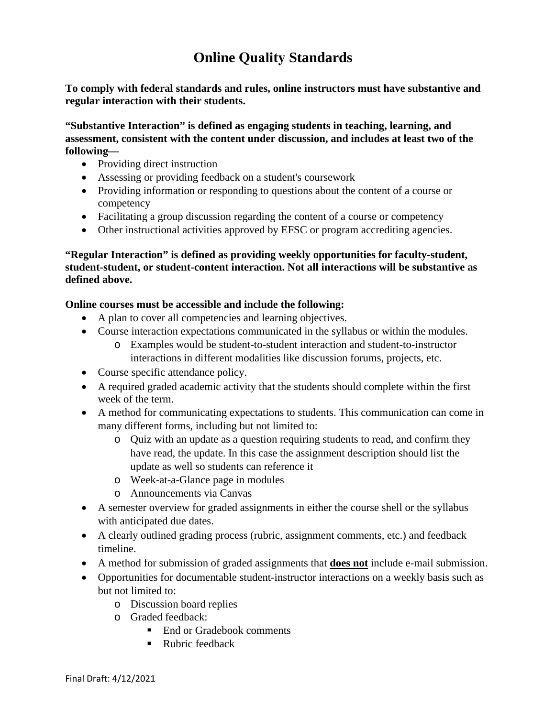## **Online Quality Standards**

**To comply with federal standards and rules, online instructors must have substantive and regular interaction with their students.**

**"Substantive Interaction" is defined as engaging students in teaching, learning, and assessment, consistent with the content under discussion, and includes at least two of the following—** 

- Providing direct instruction
- Assessing or providing feedback on a student's coursework
- Providing information or responding to questions about the content of a course or competency
- Facilitating a group discussion regarding the content of a course or competency
- Other instructional activities approved by EFSC or program accrediting agencies.

## **"Regular Interaction" is defined as providing weekly opportunities for faculty-student, student-student, or student-content interaction. Not all interactions will be substantive as defined above.**

## **Online courses must be accessible and include the following:**

- A plan to cover all competencies and learning objectives.
- Course interaction expectations communicated in the syllabus or within the modules.
	- o Examples would be student-to-student interaction and student-to-instructor interactions in different modalities like discussion forums, projects, etc.
- Course specific attendance policy.
- A required graded academic activity that the students should complete within the first week of the term.
- A method for communicating expectations to students. This communication can come in many different forms, including but not limited to:
	- o Quiz with an update as a question requiring students to read, and confirm they have read, the update. In this case the assignment description should list the update as well so students can reference it
	- o Week-at-a-Glance page in modules
	- o Announcements via Canvas
- A semester overview for graded assignments in either the course shell or the syllabus with anticipated due dates.
- A clearly outlined grading process (rubric, assignment comments, etc.) and feedback timeline.
- A method for submission of graded assignments that **does not** include e-mail submission.
- Opportunities for documentable student-instructor interactions on a weekly basis such as but not limited to:
	- o Discussion board replies
	- o Graded feedback:
		- End or Gradebook comments
		- Rubric feedback